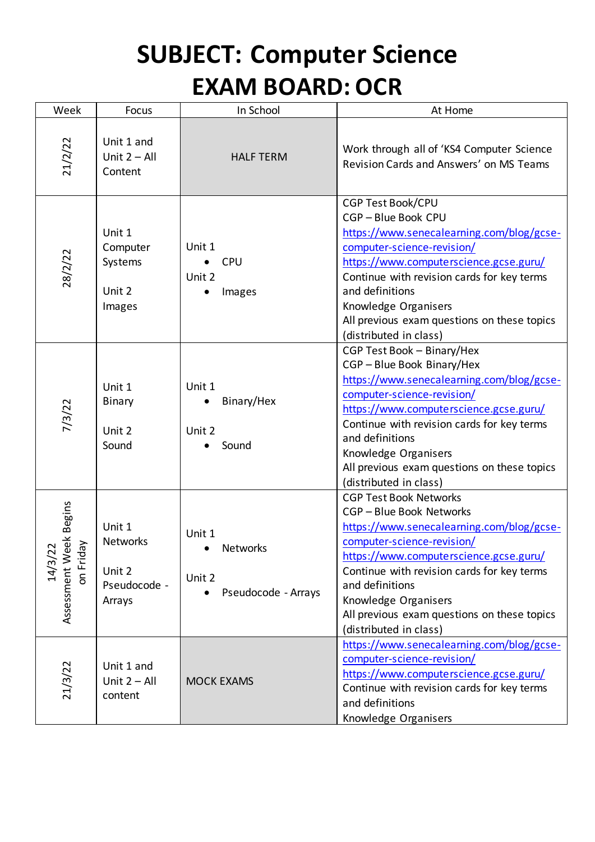## **SUBJECT: Computer Science EXAM BOARD: OCR**

| Week                                           | Focus                                                         | In School                                           | At Home                                                                                                                                                                                                                                                                                                                                        |
|------------------------------------------------|---------------------------------------------------------------|-----------------------------------------------------|------------------------------------------------------------------------------------------------------------------------------------------------------------------------------------------------------------------------------------------------------------------------------------------------------------------------------------------------|
| 21/2/22                                        | Unit 1 and<br>Unit $2 - All$<br>Content                       | <b>HALF TERM</b>                                    | Work through all of 'KS4 Computer Science<br>Revision Cards and Answers' on MS Teams                                                                                                                                                                                                                                                           |
| 28/2/22                                        | Unit 1<br>Computer<br>Systems<br>Unit 2<br>Images             | Unit 1<br><b>CPU</b><br>Unit 2<br>Images            | <b>CGP Test Book/CPU</b><br>CGP-Blue Book CPU<br>https://www.senecalearning.com/blog/gcse-<br>computer-science-revision/<br>https://www.computerscience.gcse.guru/<br>Continue with revision cards for key terms<br>and definitions<br>Knowledge Organisers<br>All previous exam questions on these topics<br>(distributed in class)           |
| 7/3/22                                         | Unit 1<br>Binary<br>Unit 2<br>Sound                           | Unit 1<br>Binary/Hex<br>Unit 2<br>Sound             | CGP Test Book - Binary/Hex<br>CGP-Blue Book Binary/Hex<br>https://www.senecalearning.com/blog/gcse-<br>computer-science-revision/<br>https://www.computerscience.gcse.guru/<br>Continue with revision cards for key terms<br>and definitions<br>Knowledge Organisers<br>All previous exam questions on these topics<br>(distributed in class)  |
| Assessment Week Begins<br>on Friday<br>14/3/22 | Unit 1<br><b>Networks</b><br>Unit 2<br>Pseudocode -<br>Arrays | Unit 1<br>Networks<br>Unit 2<br>Pseudocode - Arrays | <b>CGP Test Book Networks</b><br>CGP-Blue Book Networks<br>https://www.senecalearning.com/blog/gcse-<br>computer-science-revision/<br>https://www.computerscience.gcse.guru/<br>Continue with revision cards for key terms<br>and definitions<br>Knowledge Organisers<br>All previous exam questions on these topics<br>(distributed in class) |
| 21/3/22                                        | Unit 1 and<br>Unit $2 - All$<br>content                       | <b>MOCK EXAMS</b>                                   | https://www.senecalearning.com/blog/gcse-<br>computer-science-revision/<br>https://www.computerscience.gcse.guru/<br>Continue with revision cards for key terms<br>and definitions<br>Knowledge Organisers                                                                                                                                     |